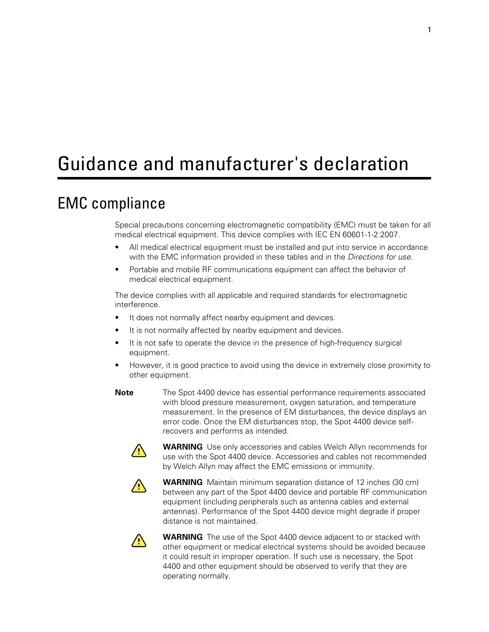# Guidance and manufacturer's declaration

### EMC compliance

Special precautions concerning electromagnetic compatibility (EMC) must be taken for all medical electrical equipment. This device complies with IEC EN 60601-1-2:2007.

- All medical electrical equipment must be installed and put into service in accordance with the EMC information provided in these tables and in the *Directions for use.*
- Portable and mobile RF communications equipment can affect the behavior of medical electrical equipment.

The device complies with all applicable and required standards for electromagnetic interference.

- It does not normally affect nearby equipment and devices.
- It is not normally affected by nearby equipment and devices.
- It is not safe to operate the device in the presence of high-frequency surgical equipment.
- However, it is good practice to avoid using the device in extremely close proximity to other equipment.
- **Note** The Spot 4400 device has essential performance requirements associated with blood pressure measurement, oxygen saturation, and temperature measurement. In the presence of EM disturbances, the device displays an error code. Once the EM disturbances stop, the Spot 4400 device selfrecovers and performs as intended.



**WARNING** Use only accessories and cables Welch Allyn recommends for use with the Spot 4400 device. Accessories and cables not recommended by Welch Allyn may affect the EMC emissions or immunity.



**WARNING** Maintain minimum separation distance of 12 inches (30 cm) between any part of the Spot 4400 device and portable RF communication equipment (including peripherals such as antenna cables and external antennas). Performance of the Spot 4400 device might degrade if proper distance is not maintained.



**WARNING** The use of the Spot 4400 device adjacent to or stacked with other equipment or medical electrical systems should be avoided because it could result in improper operation. If such use is necessary, the Spot 4400 and other equipment should be observed to verify that they are operating normally.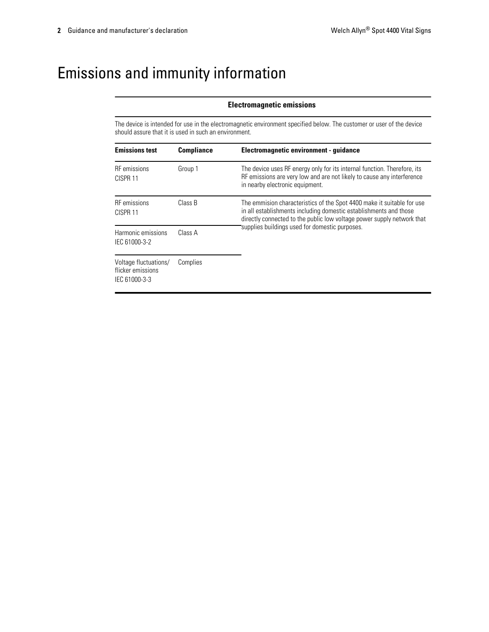## Emissions and immunity information

#### **Electromagnetic emissions**

The device is intended for use in the electromagnetic environment specified below. The customer or user of the device should assure that it is used in such an environment.

| <b>Emissions test</b>                                       | <b>Compliance</b> | Electromagnetic environment - quidance                                                                                                                                                                                |  |
|-------------------------------------------------------------|-------------------|-----------------------------------------------------------------------------------------------------------------------------------------------------------------------------------------------------------------------|--|
| <b>RF</b> emissions<br>CISPR <sub>11</sub>                  | Group 1           | The device uses RF energy only for its internal function. Therefore, its<br>RF emissions are very low and are not likely to cause any interference<br>in nearby electronic equipment.                                 |  |
| <b>RF</b> emissions<br>CISPR <sub>11</sub>                  | Class B           | The emmision characteristics of the Spot 4400 make it suitable for use<br>in all establishments including domestic establishments and those<br>directly connected to the public low voltage power supply network that |  |
| Harmonic emissions<br>IEC 61000-3-2                         | Class A           | supplies buildings used for domestic purposes.                                                                                                                                                                        |  |
| Voltage fluctuations/<br>flicker emissions<br>IEC 61000-3-3 | Complies          |                                                                                                                                                                                                                       |  |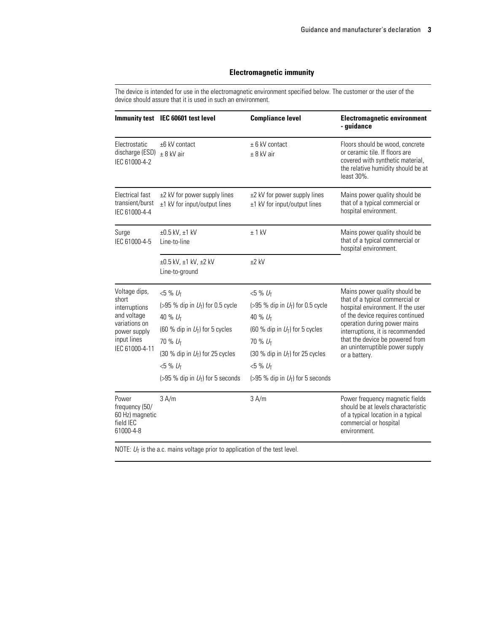#### **Electromagnetic immunity**

The device is intended for use in the electromagnetic environment specified below. The customer or the user of the device should assure that it is used in such an environment.

|                                                                                                                          | Immunity test IEC 60601 test level                                                                                                                                                                                                   | <b>Compliance level</b>                                                                                                                                                                                               | <b>Electromagnetic environment</b><br>- guidance                                                                                                                                                                                                                                                     |  |
|--------------------------------------------------------------------------------------------------------------------------|--------------------------------------------------------------------------------------------------------------------------------------------------------------------------------------------------------------------------------------|-----------------------------------------------------------------------------------------------------------------------------------------------------------------------------------------------------------------------|------------------------------------------------------------------------------------------------------------------------------------------------------------------------------------------------------------------------------------------------------------------------------------------------------|--|
| Electrostatic<br>discharge (ESD)<br>IEC 61000-4-2                                                                        | ±6 kV contact<br>$± 8$ kV air                                                                                                                                                                                                        | $± 6$ kV contact<br>$± 8$ kV air                                                                                                                                                                                      | Floors should be wood, concrete<br>or ceramic tile. If floors are<br>covered with synthetic material,<br>the relative humidity should be at<br>least 30%.                                                                                                                                            |  |
| Electrical fast<br>transient/burst<br>IEC 61000-4-4                                                                      | ±2 kV for power supply lines<br>±1 kV for input/output lines                                                                                                                                                                         | ±2 kV for power supply lines<br>±1 kV for input/output lines                                                                                                                                                          | Mains power quality should be<br>that of a typical commercial or<br>hospital environment.                                                                                                                                                                                                            |  |
| Surge<br>IEC 61000-4-5                                                                                                   | $\pm 0.5$ kV, $\pm 1$ kV<br>Line-to-line                                                                                                                                                                                             | $± 1$ kV                                                                                                                                                                                                              | Mains power quality should be<br>that of a typical commercial or<br>hospital environment.                                                                                                                                                                                                            |  |
|                                                                                                                          | ±0.5 kV, ±1 kV, ±2 kV<br>Line-to-ground                                                                                                                                                                                              | $±2$ kV                                                                                                                                                                                                               |                                                                                                                                                                                                                                                                                                      |  |
| Voltage dips,<br>short<br>interruptions<br>and voltage<br>variations on<br>power supply<br>input lines<br>IEC 61000-4-11 | $<5%$ $U_T$<br>(>95 % dip in $U_T$ ) for 0.5 cycle<br>40 % U <sub>T</sub><br>(60 % dip in $U_T$ ) for 5 cycles<br>70 % U <sub>T</sub><br>(30 % dip in $U_T$ ) for 25 cycles<br>$< 5 \% U_{T}$<br>(>95 % dip in $U_T$ ) for 5 seconds | $<5%$ $U_T$<br>(>95 % dip in $U_T$ ) for 0.5 cycle<br>40 % UT<br>(60 % dip in $U_T$ ) for 5 cycles<br>70 % U <sub>T</sub><br>(30 % dip in $U_T$ ) for 25 cycles<br>$<5%$ $U_T$<br>(>95 % dip in $U_T$ ) for 5 seconds | Mains power quality should be<br>that of a typical commercial or<br>hospital environment. If the user<br>of the device requires continued<br>operation during power mains<br>interruptions, it is recommended<br>that the device be powered from<br>an uninterruptible power supply<br>or a battery. |  |
| Power<br>frequency (50/<br>60 Hz) magnetic<br>field IEC<br>61000-4-8                                                     | 3 A/m                                                                                                                                                                                                                                | 3 A/m                                                                                                                                                                                                                 | Power frequency magnetic fields<br>should be at levels characteristic<br>of a typical location in a typical<br>commercial or hospital<br>environment.                                                                                                                                                |  |

NOTE:  $U_T$  is the a.c. mains voltage prior to application of the test level.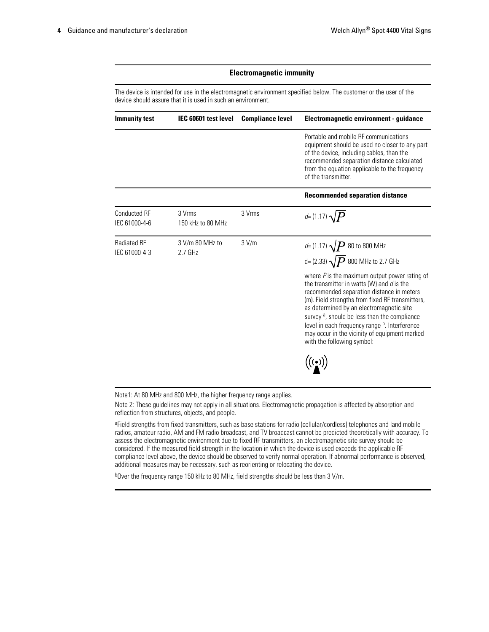#### **Electromagnetic immunity**

The device is intended for use in the electromagnetic environment specified below. The customer or the user of the device should assure that it is used in such an environment.

| <b>Immunity test</b>                 | IEC 60601 test level         | <b>Compliance level</b> | Electromagnetic environment - guidance                                                                                                                                                                                                                                                                                                                                                                                                                                                                                 |
|--------------------------------------|------------------------------|-------------------------|------------------------------------------------------------------------------------------------------------------------------------------------------------------------------------------------------------------------------------------------------------------------------------------------------------------------------------------------------------------------------------------------------------------------------------------------------------------------------------------------------------------------|
|                                      |                              |                         | Portable and mobile RF communications<br>equipment should be used no closer to any part<br>of the device, including cables, than the<br>recommended separation distance calculated<br>from the equation applicable to the frequency<br>of the transmitter.                                                                                                                                                                                                                                                             |
|                                      |                              |                         | <b>Recommended separation distance</b>                                                                                                                                                                                                                                                                                                                                                                                                                                                                                 |
| <b>Conducted RF</b><br>IEC 61000-4-6 | 3 Vrms<br>150 kHz to 80 MHz  | 3 Vrms                  | $d=(1.17)\sqrt{P}$                                                                                                                                                                                                                                                                                                                                                                                                                                                                                                     |
| <b>Radiated RF</b><br>IEC 61000-4-3  | 3 V/m 80 MHz to<br>$2.7$ GHz | 3 V/m                   | d= (1.17) $\sqrt{P}$ 80 to 800 MHz<br>d= (2.33) $\sqrt{P}$ 800 MHz to 2.7 GHz<br>where $P$ is the maximum output power rating of<br>the transmitter in watts (W) and d is the<br>recommended separation distance in meters<br>(m). Field strengths from fixed RF transmitters,<br>as determined by an electromagnetic site<br>survey <sup>a</sup> , should be less than the compliance<br>level in each frequency range b. Interference<br>may occur in the vicinity of equipment marked<br>with the following symbol: |

Note1: At 80 MHz and 800 MHz, the higher frequency range applies.

Note 2: These guidelines may not apply in all situations. Electromagnetic propagation is affected by absorption and reflection from structures, objects, and people.

a Field strengths from fixed transmitters, such as base stations for radio (cellular/cordless) telephones and land mobile radios, amateur radio, AM and FM radio broadcast, and TV broadcast cannot be predicted theoretically with accuracy. To assess the electromagnetic environment due to fixed RF transmitters, an electromagnetic site survey should be considered. If the measured field strength in the location in which the device is used exceeds the applicable RF compliance level above, the device should be observed to verify normal operation. If abnormal performance is observed, additional measures may be necessary, such as reorienting or relocating the device.

b<sub>Over</sub> the frequency range 150 kHz to 80 MHz, field strengths should be less than 3 V/m.